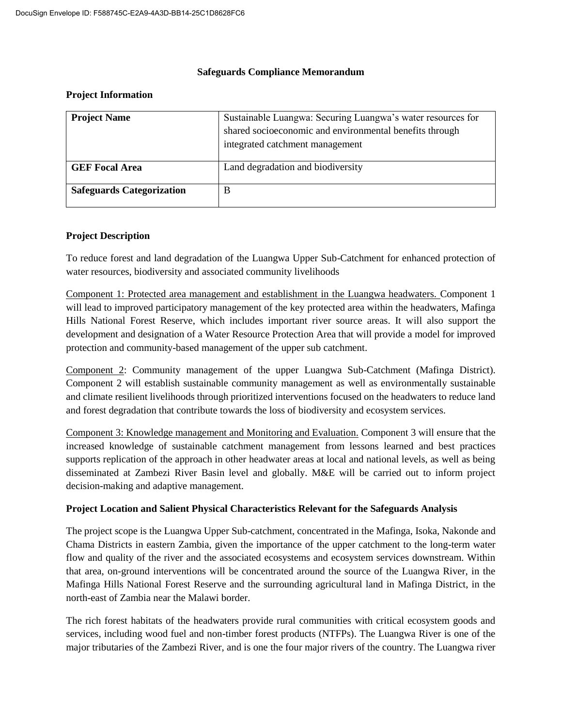#### **Safeguards Compliance Memorandum**

#### **Project Information**

| <b>Project Name</b>              | Sustainable Luangwa: Securing Luangwa's water resources for<br>shared socioeconomic and environmental benefits through<br>integrated catchment management |
|----------------------------------|-----------------------------------------------------------------------------------------------------------------------------------------------------------|
| <b>GEF</b> Focal Area            | Land degradation and biodiversity                                                                                                                         |
| <b>Safeguards Categorization</b> | B                                                                                                                                                         |

### **Project Description**

To reduce forest and land degradation of the Luangwa Upper Sub-Catchment for enhanced protection of water resources, biodiversity and associated community livelihoods

Component 1: Protected area management and establishment in the Luangwa headwaters. Component 1 will lead to improved participatory management of the key protected area within the headwaters, Mafinga Hills National Forest Reserve, which includes important river source areas. It will also support the development and designation of a Water Resource Protection Area that will provide a model for improved protection and community-based management of the upper sub catchment.

Component 2: Community management of the upper Luangwa Sub-Catchment (Mafinga District). Component 2 will establish sustainable community management as well as environmentally sustainable and climate resilient livelihoods through prioritized interventions focused on the headwaters to reduce land and forest degradation that contribute towards the loss of biodiversity and ecosystem services.

Component 3: Knowledge management and Monitoring and Evaluation. Component 3 will ensure that the increased knowledge of sustainable catchment management from lessons learned and best practices supports replication of the approach in other headwater areas at local and national levels, as well as being disseminated at Zambezi River Basin level and globally. M&E will be carried out to inform project decision-making and adaptive management.

### **Project Location and Salient Physical Characteristics Relevant for the Safeguards Analysis**

The project scope is the Luangwa Upper Sub-catchment, concentrated in the Mafinga, Isoka, Nakonde and Chama Districts in eastern Zambia, given the importance of the upper catchment to the long-term water flow and quality of the river and the associated ecosystems and ecosystem services downstream. Within that area, on-ground interventions will be concentrated around the source of the Luangwa River, in the Mafinga Hills National Forest Reserve and the surrounding agricultural land in Mafinga District, in the north-east of Zambia near the Malawi border.

The rich forest habitats of the headwaters provide rural communities with critical ecosystem goods and services, including wood fuel and non-timber forest products (NTFPs). The Luangwa River is one of the major tributaries of the Zambezi River, and is one the four major rivers of the country. The Luangwa river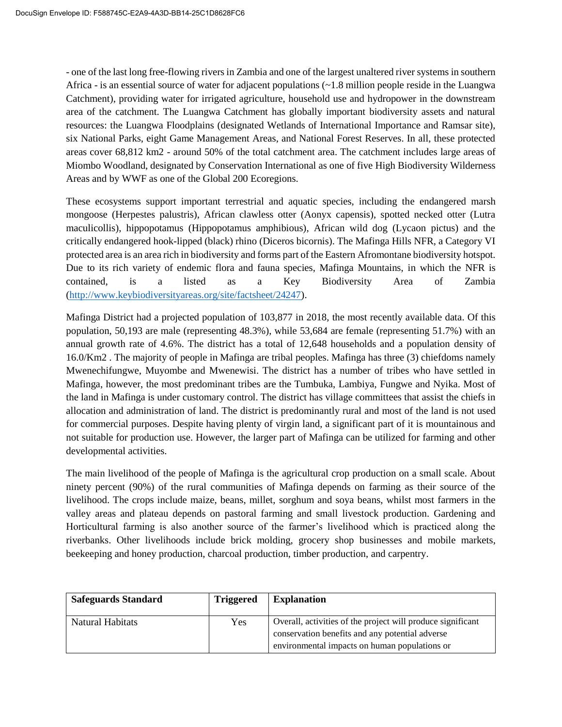- one of the last long free-flowing rivers in Zambia and one of the largest unaltered river systems in southern Africa - is an essential source of water for adjacent populations (~1.8 million people reside in the Luangwa Catchment), providing water for irrigated agriculture, household use and hydropower in the downstream area of the catchment. The Luangwa Catchment has globally important biodiversity assets and natural resources: the Luangwa Floodplains (designated Wetlands of International Importance and Ramsar site), six National Parks, eight Game Management Areas, and National Forest Reserves. In all, these protected areas cover 68,812 km2 - around 50% of the total catchment area. The catchment includes large areas of Miombo Woodland, designated by Conservation International as one of five High Biodiversity Wilderness Areas and by WWF as one of the Global 200 Ecoregions.

These ecosystems support important terrestrial and aquatic species, including the endangered marsh mongoose (Herpestes palustris), African clawless otter (Aonyx capensis), spotted necked otter (Lutra maculicollis), hippopotamus (Hippopotamus amphibious), African wild dog (Lycaon pictus) and the critically endangered hook-lipped (black) rhino (Diceros bicornis). The Mafinga Hills NFR, a Category VI protected area is an area rich in biodiversity and forms part of the Eastern Afromontane biodiversity hotspot. Due to its rich variety of endemic flora and fauna species, Mafinga Mountains, in which the NFR is contained, is a listed as a Key Biodiversity Area of Zambia [\(http://www.keybiodiversityareas.org/site/factsheet/24247\)](http://www.keybiodiversityareas.org/site/factsheet/24247).

Mafinga District had a projected population of 103,877 in 2018, the most recently available data. Of this population, 50,193 are male (representing 48.3%), while 53,684 are female (representing 51.7%) with an annual growth rate of 4.6%. The district has a total of 12,648 households and a population density of 16.0/Km2 . The majority of people in Mafinga are tribal peoples. Mafinga has three (3) chiefdoms namely Mwenechifungwe, Muyombe and Mwenewisi. The district has a number of tribes who have settled in Mafinga, however, the most predominant tribes are the Tumbuka, Lambiya, Fungwe and Nyika. Most of the land in Mafinga is under customary control. The district has village committees that assist the chiefs in allocation and administration of land. The district is predominantly rural and most of the land is not used for commercial purposes. Despite having plenty of virgin land, a significant part of it is mountainous and not suitable for production use. However, the larger part of Mafinga can be utilized for farming and other developmental activities.

The main livelihood of the people of Mafinga is the agricultural crop production on a small scale. About ninety percent (90%) of the rural communities of Mafinga depends on farming as their source of the livelihood. The crops include maize, beans, millet, sorghum and soya beans, whilst most farmers in the valley areas and plateau depends on pastoral farming and small livestock production. Gardening and Horticultural farming is also another source of the farmer's livelihood which is practiced along the riverbanks. Other livelihoods include brick molding, grocery shop businesses and mobile markets, beekeeping and honey production, charcoal production, timber production, and carpentry.

| <b>Safeguards Standard</b> | <b>Triggered</b> | <b>Explanation</b>                                                                               |
|----------------------------|------------------|--------------------------------------------------------------------------------------------------|
| Natural Habitats           | Yes              | Overall, activities of the project will produce significant                                      |
|                            |                  | conservation benefits and any potential adverse<br>environmental impacts on human populations or |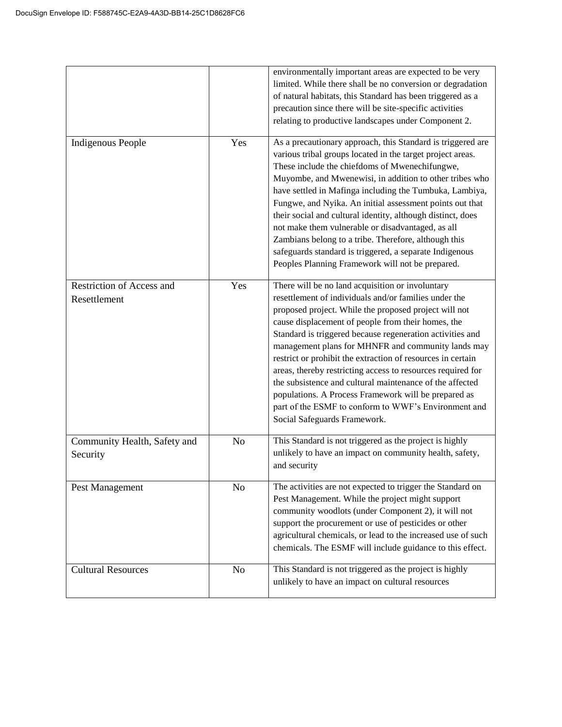|                                           |                | environmentally important areas are expected to be very<br>limited. While there shall be no conversion or degradation<br>of natural habitats, this Standard has been triggered as a<br>precaution since there will be site-specific activities<br>relating to productive landscapes under Component 2.                                                                                                                                                                                                                                                                                                                                                                                |
|-------------------------------------------|----------------|---------------------------------------------------------------------------------------------------------------------------------------------------------------------------------------------------------------------------------------------------------------------------------------------------------------------------------------------------------------------------------------------------------------------------------------------------------------------------------------------------------------------------------------------------------------------------------------------------------------------------------------------------------------------------------------|
| <b>Indigenous People</b>                  | Yes            | As a precautionary approach, this Standard is triggered are<br>various tribal groups located in the target project areas.<br>These include the chiefdoms of Mwenechifungwe,<br>Muyombe, and Mwenewisi, in addition to other tribes who<br>have settled in Mafinga including the Tumbuka, Lambiya,<br>Fungwe, and Nyika. An initial assessment points out that<br>their social and cultural identity, although distinct, does<br>not make them vulnerable or disadvantaged, as all<br>Zambians belong to a tribe. Therefore, although this<br>safeguards standard is triggered, a separate Indigenous<br>Peoples Planning Framework will not be prepared.                              |
| Restriction of Access and<br>Resettlement | Yes            | There will be no land acquisition or involuntary<br>resettlement of individuals and/or families under the<br>proposed project. While the proposed project will not<br>cause displacement of people from their homes, the<br>Standard is triggered because regeneration activities and<br>management plans for MHNFR and community lands may<br>restrict or prohibit the extraction of resources in certain<br>areas, thereby restricting access to resources required for<br>the subsistence and cultural maintenance of the affected<br>populations. A Process Framework will be prepared as<br>part of the ESMF to conform to WWF's Environment and<br>Social Safeguards Framework. |
| Community Health, Safety and<br>Security  | N <sub>o</sub> | This Standard is not triggered as the project is highly<br>unlikely to have an impact on community health, safety,<br>and security                                                                                                                                                                                                                                                                                                                                                                                                                                                                                                                                                    |
| Pest Management                           | N <sub>o</sub> | The activities are not expected to trigger the Standard on<br>Pest Management. While the project might support<br>community woodlots (under Component 2), it will not<br>support the procurement or use of pesticides or other<br>agricultural chemicals, or lead to the increased use of such<br>chemicals. The ESMF will include guidance to this effect.                                                                                                                                                                                                                                                                                                                           |
| <b>Cultural Resources</b>                 | N <sub>o</sub> | This Standard is not triggered as the project is highly<br>unlikely to have an impact on cultural resources                                                                                                                                                                                                                                                                                                                                                                                                                                                                                                                                                                           |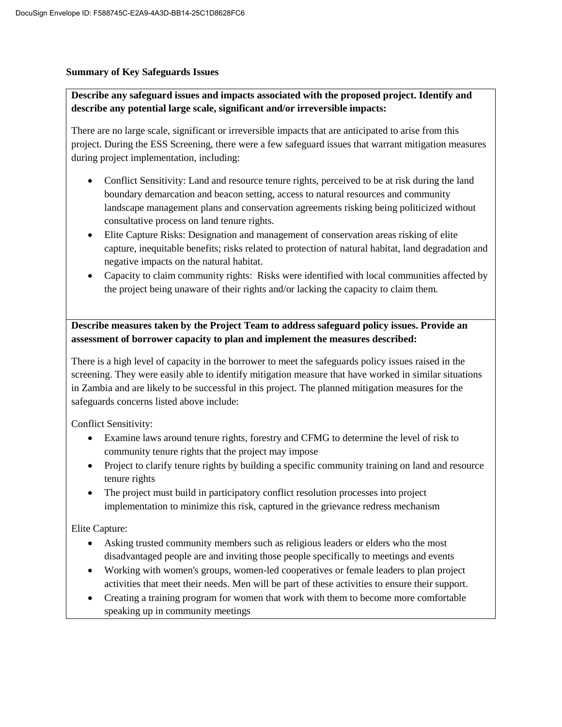### **Summary of Key Safeguards Issues**

## **Describe any safeguard issues and impacts associated with the proposed project. Identify and describe any potential large scale, significant and/or irreversible impacts:**

There are no large scale, significant or irreversible impacts that are anticipated to arise from this project. During the ESS Screening, there were a few safeguard issues that warrant mitigation measures during project implementation, including:

- Conflict Sensitivity: Land and resource tenure rights, perceived to be at risk during the land boundary demarcation and beacon setting, access to natural resources and community landscape management plans and conservation agreements risking being politicized without consultative process on land tenure rights.
- Elite Capture Risks: Designation and management of conservation areas risking of elite capture, inequitable benefits; risks related to protection of natural habitat, land degradation and negative impacts on the natural habitat.
- Capacity to claim community rights: Risks were identified with local communities affected by the project being unaware of their rights and/or lacking the capacity to claim them.

**Describe measures taken by the Project Team to address safeguard policy issues. Provide an assessment of borrower capacity to plan and implement the measures described:**

There is a high level of capacity in the borrower to meet the safeguards policy issues raised in the screening. They were easily able to identify mitigation measure that have worked in similar situations in Zambia and are likely to be successful in this project. The planned mitigation measures for the safeguards concerns listed above include:

Conflict Sensitivity:

- Examine laws around tenure rights, forestry and CFMG to determine the level of risk to community tenure rights that the project may impose
- Project to clarify tenure rights by building a specific community training on land and resource tenure rights
- The project must build in participatory conflict resolution processes into project implementation to minimize this risk, captured in the grievance redress mechanism

Elite Capture:

- Asking trusted community members such as religious leaders or elders who the most disadvantaged people are and inviting those people specifically to meetings and events
- Working with women's groups, women-led cooperatives or female leaders to plan project activities that meet their needs. Men will be part of these activities to ensure their support.
- Creating a training program for women that work with them to become more comfortable speaking up in community meetings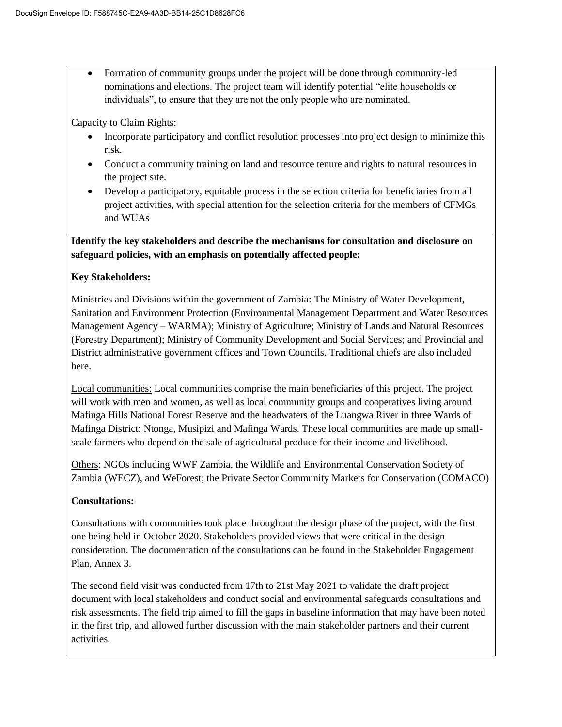Formation of community groups under the project will be done through community-led nominations and elections. The project team will identify potential "elite households or individuals", to ensure that they are not the only people who are nominated.

Capacity to Claim Rights:

- Incorporate participatory and conflict resolution processes into project design to minimize this risk.
- Conduct a community training on land and resource tenure and rights to natural resources in the project site.
- Develop a participatory, equitable process in the selection criteria for beneficiaries from all project activities, with special attention for the selection criteria for the members of CFMGs and WUAs

**Identify the key stakeholders and describe the mechanisms for consultation and disclosure on safeguard policies, with an emphasis on potentially affected people:**

### **Key Stakeholders:**

Ministries and Divisions within the government of Zambia: The Ministry of Water Development, Sanitation and Environment Protection (Environmental Management Department and Water Resources Management Agency – WARMA); Ministry of Agriculture; Ministry of Lands and Natural Resources (Forestry Department); Ministry of Community Development and Social Services; and Provincial and District administrative government offices and Town Councils. Traditional chiefs are also included here.

Local communities: Local communities comprise the main beneficiaries of this project. The project will work with men and women, as well as local community groups and cooperatives living around Mafinga Hills National Forest Reserve and the headwaters of the Luangwa River in three Wards of Mafinga District: Ntonga, Musipizi and Mafinga Wards. These local communities are made up smallscale farmers who depend on the sale of agricultural produce for their income and livelihood.

Others: NGOs including WWF Zambia, the Wildlife and Environmental Conservation Society of Zambia (WECZ), and WeForest; the Private Sector Community Markets for Conservation (COMACO)

### **Consultations:**

Consultations with communities took place throughout the design phase of the project, with the first one being held in October 2020. Stakeholders provided views that were critical in the design consideration. The documentation of the consultations can be found in the Stakeholder Engagement Plan, Annex 3.

The second field visit was conducted from 17th to 21st May 2021 to validate the draft project document with local stakeholders and conduct social and environmental safeguards consultations and risk assessments. The field trip aimed to fill the gaps in baseline information that may have been noted in the first trip, and allowed further discussion with the main stakeholder partners and their current activities.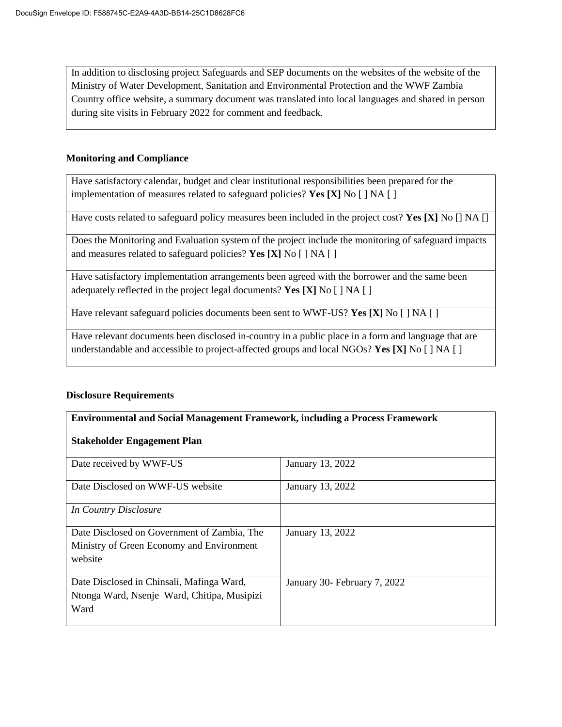In addition to disclosing project Safeguards and SEP documents on the websites of the website of the Ministry of Water Development, Sanitation and Environmental Protection and the WWF Zambia Country office website, a summary document was translated into local languages and shared in person during site visits in February 2022 for comment and feedback.

### **Monitoring and Compliance**

Have satisfactory calendar, budget and clear institutional responsibilities been prepared for the implementation of measures related to safeguard policies? **Yes [X]** No [ ] NA [ ]

Have costs related to safeguard policy measures been included in the project cost? **Yes [X]** No [] NA []

Does the Monitoring and Evaluation system of the project include the monitoring of safeguard impacts and measures related to safeguard policies? **Yes [X]** No [ ] NA [ ]

Have satisfactory implementation arrangements been agreed with the borrower and the same been adequately reflected in the project legal documents? **Yes [X]** No [ ] NA [ ]

Have relevant safeguard policies documents been sent to WWF-US? **Yes [X]** No [ ] NA [ ]

Have relevant documents been disclosed in-country in a public place in a form and language that are understandable and accessible to project-affected groups and local NGOs? **Yes [X]** No [ ] NA [ ]

### **Disclosure Requirements**

### **Environmental and Social Management Framework, including a Process Framework**

### **Stakeholder Engagement Plan**

| Date received by WWF-US                     | January 13, 2022             |
|---------------------------------------------|------------------------------|
| Date Disclosed on WWF-US website            | January 13, 2022             |
|                                             |                              |
| In Country Disclosure                       |                              |
|                                             |                              |
| Date Disclosed on Government of Zambia, The | January 13, 2022             |
| Ministry of Green Economy and Environment   |                              |
| website                                     |                              |
|                                             |                              |
| Date Disclosed in Chinsali, Mafinga Ward,   | January 30- February 7, 2022 |
| Ntonga Ward, Nsenje Ward, Chitipa, Musipizi |                              |
| Ward                                        |                              |
|                                             |                              |